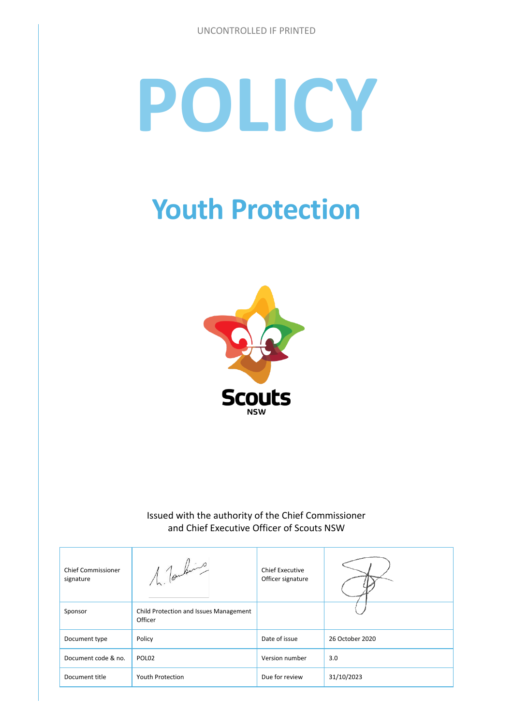# **POLICY**

## **Youth Protection**



#### Issued with the authority of the Chief Commissioner and Chief Executive Officer of Scouts NSW

| <b>Chief Commissioner</b><br>signature | 1. Tombing                                        | <b>Chief Executive</b><br>Officer signature |                 |
|----------------------------------------|---------------------------------------------------|---------------------------------------------|-----------------|
| Sponsor                                | Child Protection and Issues Management<br>Officer |                                             |                 |
| Document type                          | Policy                                            | Date of issue                               | 26 October 2020 |
| Document code & no.                    | POL <sub>02</sub>                                 | Version number                              | 3.0             |
| Document title                         | <b>Youth Protection</b>                           | Due for review                              | 31/10/2023      |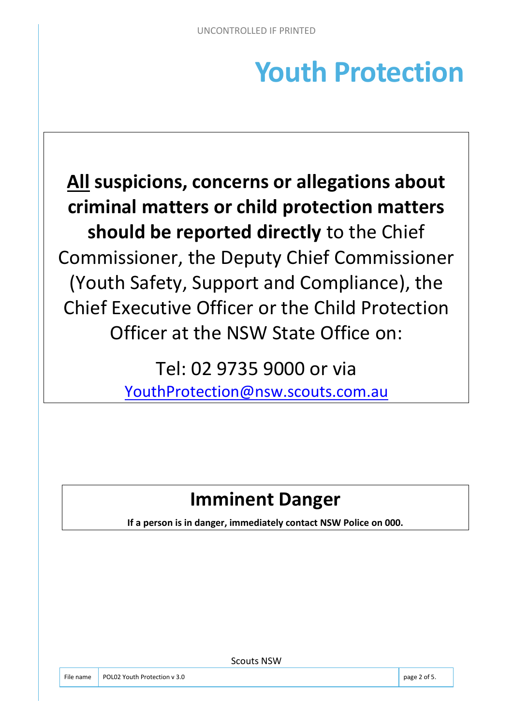## **Youth Protection**

**All suspicions, concerns or allegations about criminal matters or child protection matters should be reported directly** to the Chief Commissioner, the Deputy Chief Commissioner (Youth Safety, Support and Compliance), the Chief Executive Officer or the Child Protection Officer at the NSW State Office on:

> Tel: 02 9735 9000 or via [YouthProtection@nsw.scouts.com.au](mailto:YouthProtection@nsw.scouts.com.au)

### **Imminent Danger**

**If a person is in danger, immediately contact NSW Police on 000.** 

File name POL02 Youth Protection v 3.0 page 2 of 5.

Scouts NSW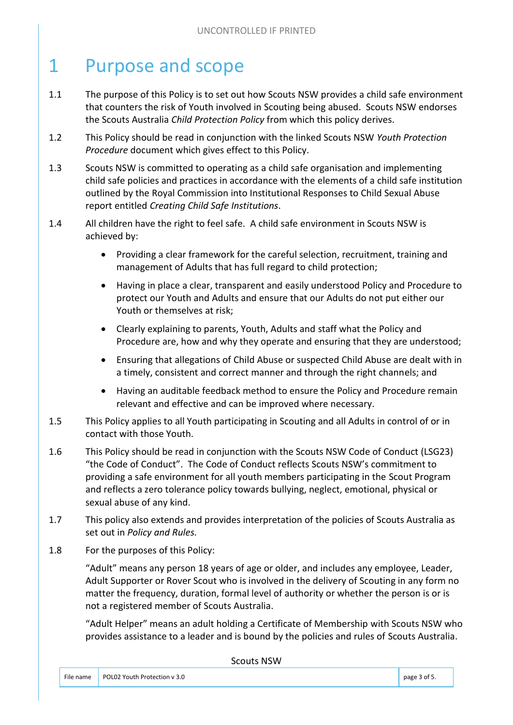#### 1 Purpose and scope

- 1.1 The purpose of this Policy is to set out how Scouts NSW provides a child safe environment that counters the risk of Youth involved in Scouting being abused. Scouts NSW endorses the Scouts Australia *Child Protection Policy* from which this policy derives.
- 1.2 This Policy should be read in conjunction with the linked Scouts NSW *Youth Protection Procedure* document which gives effect to this Policy.
- 1.3 Scouts NSW is committed to operating as a child safe organisation and implementing child safe policies and practices in accordance with the elements of a child safe institution outlined by the Royal Commission into Institutional Responses to Child Sexual Abuse report entitled *Creating Child Safe Institutions*.
- 1.4 All children have the right to feel safe. A child safe environment in Scouts NSW is achieved by:
	- Providing a clear framework for the careful selection, recruitment, training and management of Adults that has full regard to child protection;
	- Having in place a clear, transparent and easily understood Policy and Procedure to protect our Youth and Adults and ensure that our Adults do not put either our Youth or themselves at risk;
	- Clearly explaining to parents, Youth, Adults and staff what the Policy and Procedure are, how and why they operate and ensuring that they are understood;
	- Ensuring that allegations of Child Abuse or suspected Child Abuse are dealt with in a timely, consistent and correct manner and through the right channels; and
	- Having an auditable feedback method to ensure the Policy and Procedure remain relevant and effective and can be improved where necessary.
- 1.5 This Policy applies to all Youth participating in Scouting and all Adults in control of or in contact with those Youth.
- 1.6 This Policy should be read in conjunction with the Scouts NSW Code of Conduct (LSG23) "the Code of Conduct". The Code of Conduct reflects Scouts NSW's commitment to providing a safe environment for all youth members participating in the Scout Program and reflects a zero tolerance policy towards bullying, neglect, emotional, physical or sexual abuse of any kind.
- 1.7 This policy also extends and provides interpretation of the policies of Scouts Australia as set out in *Policy and Rules.*
- 1.8 For the purposes of this Policy:

"Adult" means any person 18 years of age or older, and includes any employee, Leader, Adult Supporter or Rover Scout who is involved in the delivery of Scouting in any form no matter the frequency, duration, formal level of authority or whether the person is or is not a registered member of Scouts Australia.

"Adult Helper" means an adult holding a Certificate of Membership with Scouts NSW who provides assistance to a leader and is bound by the policies and rules of Scouts Australia.

| <b>Scouts NSW</b> |
|-------------------|
|-------------------|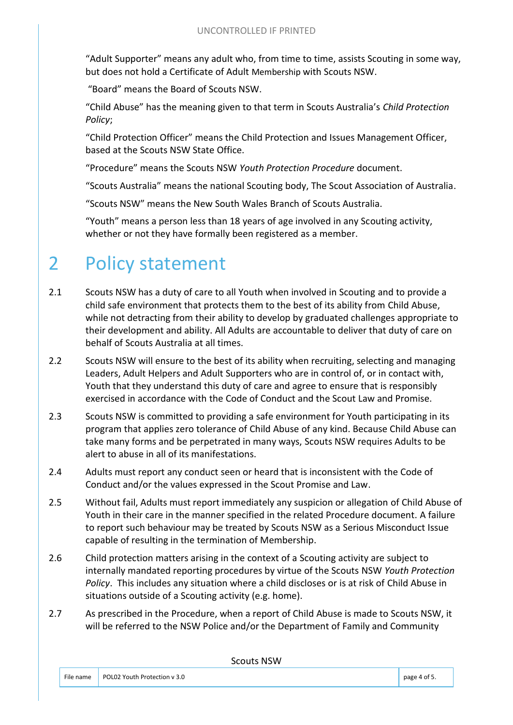"Adult Supporter" means any adult who, from time to time, assists Scouting in some way, but does not hold a Certificate of Adult Membership with Scouts NSW.

"Board" means the Board of Scouts NSW.

"Child Abuse" has the meaning given to that term in Scouts Australia's *Child Protection Policy*;

"Child Protection Officer" means the Child Protection and Issues Management Officer, based at the Scouts NSW State Office.

"Procedure" means the Scouts NSW *Youth Protection Procedure* document.

"Scouts Australia" means the national Scouting body, The Scout Association of Australia.

"Scouts NSW" means the New South Wales Branch of Scouts Australia.

"Youth" means a person less than 18 years of age involved in any Scouting activity, whether or not they have formally been registered as a member.

#### 2 Policy statement

- 2.1 Scouts NSW has a duty of care to all Youth when involved in Scouting and to provide a child safe environment that protects them to the best of its ability from Child Abuse, while not detracting from their ability to develop by graduated challenges appropriate to their development and ability. All Adults are accountable to deliver that duty of care on behalf of Scouts Australia at all times.
- 2.2 Scouts NSW will ensure to the best of its ability when recruiting, selecting and managing Leaders, Adult Helpers and Adult Supporters who are in control of, or in contact with, Youth that they understand this duty of care and agree to ensure that is responsibly exercised in accordance with the Code of Conduct and the Scout Law and Promise.
- 2.3 Scouts NSW is committed to providing a safe environment for Youth participating in its program that applies zero tolerance of Child Abuse of any kind. Because Child Abuse can take many forms and be perpetrated in many ways, Scouts NSW requires Adults to be alert to abuse in all of its manifestations.
- 2.4 Adults must report any conduct seen or heard that is inconsistent with the Code of Conduct and/or the values expressed in the Scout Promise and Law.
- 2.5 Without fail, Adults must report immediately any suspicion or allegation of Child Abuse of Youth in their care in the manner specified in the related Procedure document. A failure to report such behaviour may be treated by Scouts NSW as a Serious Misconduct Issue capable of resulting in the termination of Membership.
- 2.6 Child protection matters arising in the context of a Scouting activity are subject to internally mandated reporting procedures by virtue of the Scouts NSW *Youth Protection Policy*. This includes any situation where a child discloses or is at risk of Child Abuse in situations outside of a Scouting activity (e.g. home).
- 2.7 As prescribed in the Procedure, when a report of Child Abuse is made to Scouts NSW, it will be referred to the NSW Police and/or the Department of Family and Community

Scouts NSW